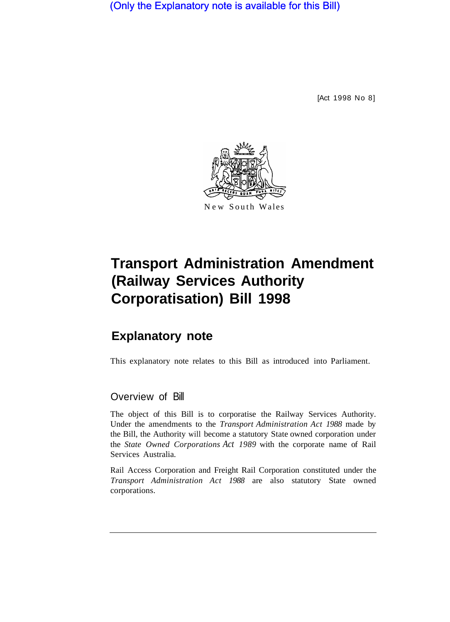(Only the Explanatory note is available for this Bill)

[Act 1998 No 8]



# **Transport Administration Amendment (Railway Services Authority Corporatisation) Bill 1998**

## **Explanatory note**

This explanatory note relates to this Bill as introduced into Parliament.

### Overview of Bill

The object of this Bill is to corporatise the Railway Services Authority. Under the amendments to the *Transport Administration Act 1988* made by the Bill, the Authority will become a statutory State owned corporation under the *State Owned Corporations Act 1989* with the corporate name of Rail Services Australia.

Rail Access Corporation and Freight Rail Corporation constituted under the *Transport Administration Act 1988* are also statutory State owned corporations.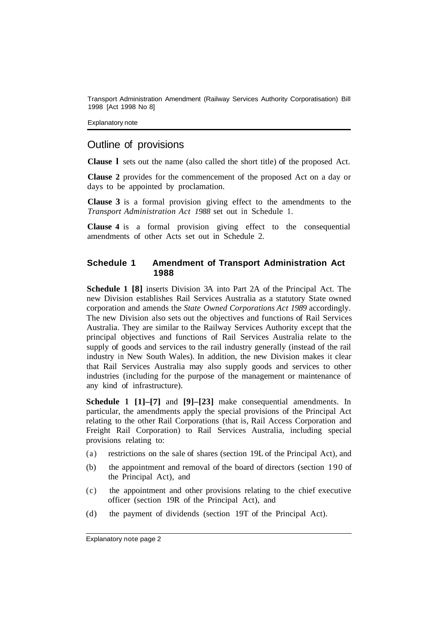Transport Administration Amendment (Railway Services Authority Corporatisation) Bill 1998 [Act 1998 No 8]

Explanatory note

#### Outline of provisions

**Clause l** sets out the name (also called the short title) of the proposed Act.

**Clause 2** provides for the commencement of the proposed Act on a day or days to be appointed by proclamation.

**Clause 3** is a formal provision giving effect to the amendments to the *Transport Administration Act 1988* set out in Schedule 1.

**Clause 4** is a formal provision giving effect to the consequential amendments of other Acts set out in Schedule 2.

#### **Schedule 1 Amendment of Transport Administration Act 1988**

**Schedule 1 [8]** inserts Division 3A into Part 2A of the Principal Act. The new Division establishes Rail Services Australia as a statutory State owned corporation and amends the *State Owned Corporations Act 1989* accordingly. The new Division also sets out the objectives and functions of Rail Services Australia. They are similar to the Railway Services Authority except that the principal objectives and functions of Rail Services Australia relate to the supply of goods and services to the rail industry generally (instead of the rail industry in New South Wales). In addition, the new Division makes it clear that Rail Services Australia may also supply goods and services to other industries (including for the purpose of the management or maintenance of any kind of infrastructure).

**Schedule 1 [1]–[7]** and **[9]–[23]** make consequential amendments. In particular, the amendments apply the special provisions of the Principal Act relating to the other Rail Corporations (that is, Rail Access Corporation and Freight Rail Corporation) to Rail Services Australia, including special provisions relating to:

- (a) restrictions on the sale of shares (section 19L of the Principal Act), and
- (b) the appointment and removal of the board of directors (section 190 of the Principal Act), and
- (c) the appointment and other provisions relating to the chief executive officer (section 19R of the Principal Act), and
- (d) the payment of dividends (section 19T of the Principal Act).